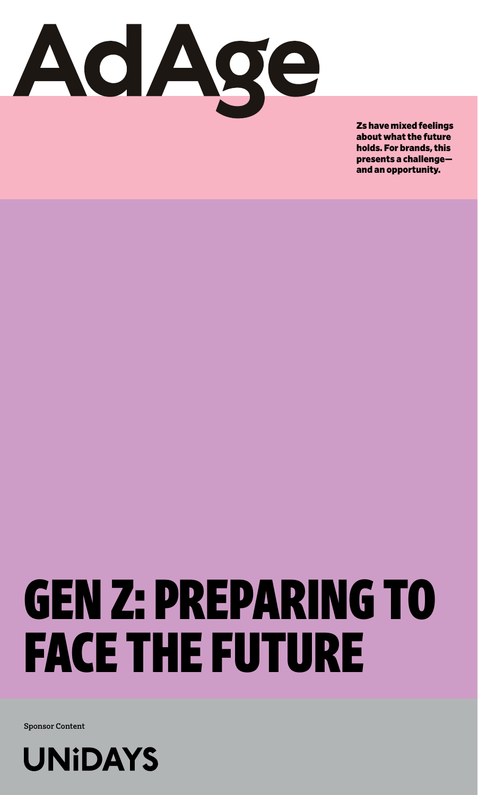

Zs have mixed feelings about what the future holds. For brands, this presents a challenge and an opportunity.

# GEN Z: PREPARING TO FACE THE FUTURE

**Sponsor Content**

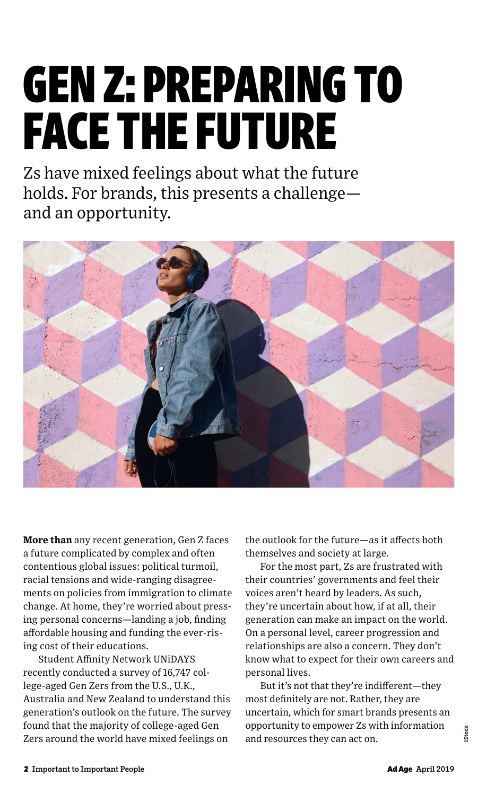## GEN Z: PREPARING TO FACE THE FUTURE

Zs have mixed feelings about what the future holds. For brands, this presents a challenge and an opportunity.



**More than** any recent generation, Gen Z faces a future complicated by complex and often contentious global issues: political turmoil, racial tensions and wide-ranging disagreements on policies from immigration to climate change. At home, they're worried about pressing personal concerns—landing a job, finding affordable housing and funding the ever-rising cost of their educations.

Student Affinity Network UNiDAYS recently conducted a survey of 16,747 college-aged Gen Zers from the U.S., U.K., Australia and New Zealand to understand this generation's outlook on the future. The survey found that the majority of college-aged Gen Zers around the world have mixed feelings on

the outlook for the future—as it affects both themselves and society at large.

For the most part, Zs are frustrated with their countries' governments and feel their voices aren't heard by leaders. As such, they're uncertain about how, if at all, their generation can make an impact on the world. On a personal level, career progression and relationships are also a concern. They don't know what to expect for their own careers and personal lives.

But it's not that they're indifferent—they most definitely are not. Rather, they are uncertain, which for smart brands presents an opportunity to empower Zs with information and resources they can act on.

**iStock**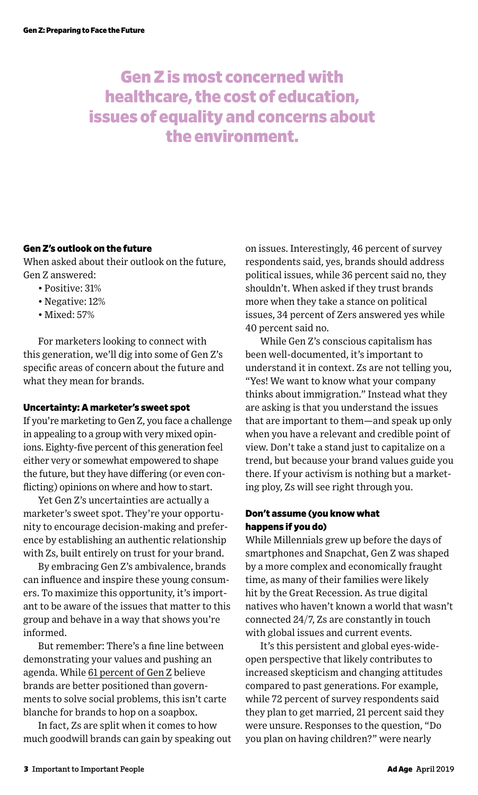## Gen Z is most concerned with healthcare, the cost of education, issues of equality and concerns about the environment.

## Gen Z's outlook on the future

When asked about their outlook on the future, Gen Z answered:

- Positive: 31%
- Negative: 12%
- Mixed: 57%

For marketers looking to connect with this generation, we'll dig into some of Gen Z's specific areas of concern about the future and what they mean for brands.

## Uncertainty: A marketer's sweet spot

If you're marketing to Gen Z, you face a challenge in appealing to a group with very mixed opinions. Eighty-five percent of this generation feel either very or somewhat empowered to shape the future, but they have differing (or even conflicting) opinions on where and how to start.

Yet Gen Z's uncertainties are actually a marketer's sweet spot. They're your opportunity to encourage decision-making and preference by establishing an authentic relationship with Zs, built entirely on trust for your brand.

By embracing Gen Z's ambivalence, brands can influence and inspire these young consumers. To maximize this opportunity, it's important to be aware of the issues that matter to this group and behave in a way that shows you're informed.

But remember: There's a fine line between demonstrating your values and pushing an agenda. While [61 percent of Gen Z](https://www.genzinsights.com/hundreds-of-useful-gen-z-stats-right-at-your-fingertips) believe brands are better positioned than governments to solve social problems, this isn't carte blanche for brands to hop on a soapbox.

In fact, Zs are split when it comes to how much goodwill brands can gain by speaking out on issues. Interestingly, 46 percent of survey respondents said, yes, brands should address political issues, while 36 percent said no, they shouldn't. When asked if they trust brands more when they take a stance on political issues, 34 percent of Zers answered yes while 40 percent said no.

While Gen Z's conscious capitalism has been well-documented, it's important to understand it in context. Zs are not telling you, "Yes! We want to know what your company thinks about immigration." Instead what they are asking is that you understand the issues that are important to them—and speak up only when you have a relevant and credible point of view. Don't take a stand just to capitalize on a trend, but because your brand values guide you there. If your activism is nothing but a marketing ploy, Zs will see right through you.

## Don't assume (you know what happens if you do)

While Millennials grew up before the days of smartphones and Snapchat, Gen Z was shaped by a more complex and economically fraught time, as many of their families were likely hit by the Great Recession. As true digital natives who haven't known a world that wasn't connected 24/7, Zs are constantly in touch with global issues and current events.

It's this persistent and global eyes-wideopen perspective that likely contributes to increased skepticism and changing attitudes compared to past generations. For example, while 72 percent of survey respondents said they plan to get married, 21 percent said they were unsure. Responses to the question, "Do you plan on having children?" were nearly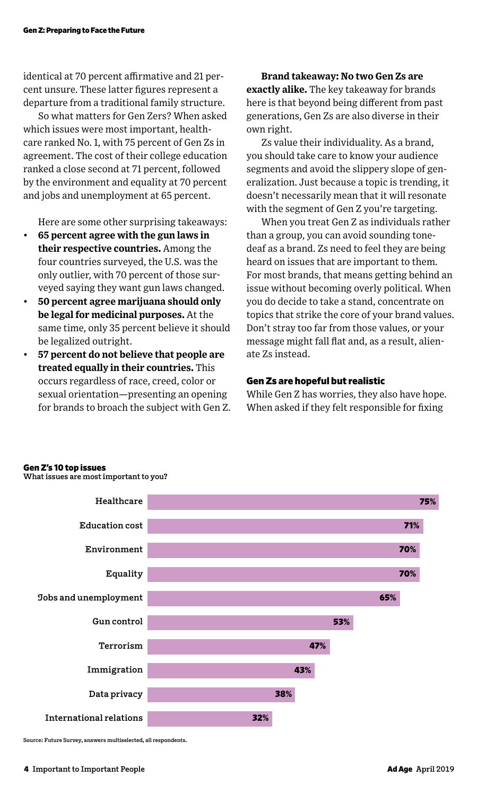identical at 70 percent affirmative and 21 percent unsure. These latter figures represent a departure from a traditional family structure.

So what matters for Gen Zers? When asked which issues were most important, healthcare ranked No. 1, with 75 percent of Gen Zs in agreement. The cost of their college education ranked a close second at 71 percent, followed by the environment and equality at 70 percent and jobs and unemployment at 65 percent.

Here are some other surprising takeaways:

- **65 percent agree with the gun laws in their respective countries.** Among the four countries surveyed, the U.S. was the only outlier, with 70 percent of those surveyed saying they want gun laws changed.
- **50 percent agree marijuana should only be legal for medicinal purposes.** At the same time, only 35 percent believe it should be legalized outright.
- **57 percent do not believe that people are treated equally in their countries.** This occurs regardless of race, creed, color or sexual orientation—presenting an opening for brands to broach the subject with Gen Z.

**Brand takeaway: No two Gen Zs are exactly alike.** The key takeaway for brands here is that beyond being different from past generations, Gen Zs are also diverse in their own right.

Zs value their individuality. As a brand, you should take care to know your audience segments and avoid the slippery slope of generalization. Just because a topic is trending, it doesn't necessarily mean that it will resonate with the segment of Gen Z you're targeting.

When you treat Gen Z as individuals rather than a group, you can avoid sounding tonedeaf as a brand. Zs need to feel they are being heard on issues that are important to them. For most brands, that means getting behind an issue without becoming overly political. When you do decide to take a stand, concentrate on topics that strike the core of your brand values. Don't stray too far from those values, or your message might fall flat and, as a result, alienate Zs instead.

## Gen Zs are hopeful but realistic

While Gen Z has worries, they also have hope. When asked if they felt responsible for fixing

### Gen Z's 10 top issues

**What issues are most important to you?**



**Source: Future Survey, answers multiselected, all respondents.**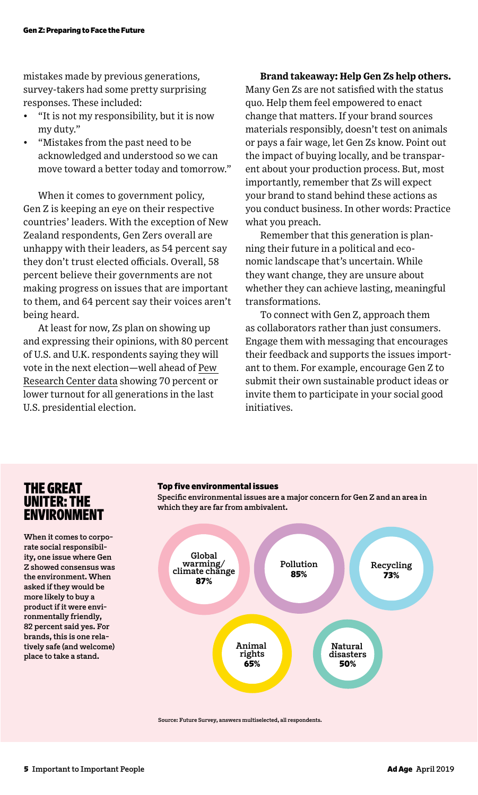mistakes made by previous generations, survey-takers had some pretty surprising responses. These included:

- "It is not my responsibility, but it is now my duty."
- "Mistakes from the past need to be acknowledged and understood so we can move toward a better today and tomorrow."

When it comes to government policy, Gen Z is keeping an eye on their respective countries' leaders. With the exception of New Zealand respondents, Gen Zers overall are unhappy with their leaders, as 54 percent say they don't trust elected officials. Overall, 58 percent believe their governments are not making progress on issues that are important to them, and 64 percent say their voices aren't being heard.

At least for now, Zs plan on showing up and expressing their opinions, with 80 percent of U.S. and U.K. respondents saying they will vote in the next election—well ahead [of Pew](http://www.pewresearch.org/fact-tank/2018/04/03/millennials-approach-baby-boomers-as-largest-generation-in-u-s-electorate/)  [Research Center data](http://www.pewresearch.org/fact-tank/2018/04/03/millennials-approach-baby-boomers-as-largest-generation-in-u-s-electorate/) showing 70 percent or lower turnout for all generations in the last U.S. presidential election.

## **Brand takeaway: Help Gen Zs help others.**

Many Gen Zs are not satisfied with the status quo. Help them feel empowered to enact change that matters. If your brand sources materials responsibly, doesn't test on animals or pays a fair wage, let Gen Zs know. Point out the impact of buying locally, and be transparent about your production process. But, most importantly, remember that Zs will expect your brand to stand behind these actions as you conduct business. In other words: Practice what you preach.

Remember that this generation is planning their future in a political and economic landscape that's uncertain. While they want change, they are unsure about whether they can achieve lasting, meaningful transformations.

To connect with Gen Z, approach them as collaborators rather than just consumers. Engage them with messaging that encourages their feedback and supports the issues important to them. For example, encourage Gen Z to submit their own sustainable product ideas or invite them to participate in your social good initiatives.

## THE GREAT UNITER: THE ENVIRONMENT

**When it comes to corporate social responsibility, one issue where Gen Z showed consensus was the environment. When asked if they would be more likely to buy a product if it were environmentally friendly, 82 percent said yes. For brands, this is one relatively safe (and welcome) place to take a stand.** 



**Specific environmental issues are a major concern for Gen Z and an area in** 

**Source: Future Survey, answers multiselected, all respondents.**

Top five environmental issues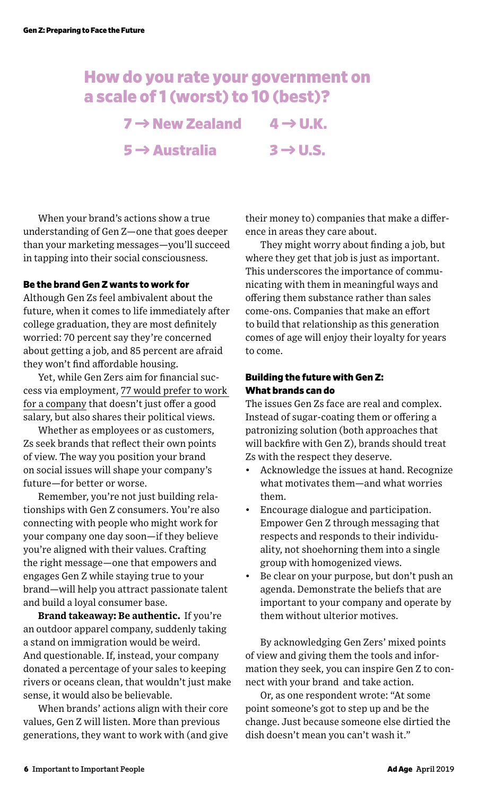## How do you rate your government on a scale of 1 (worst) to 10 (best)?

 $7 \rightarrow$  New Zealand  $4 \rightarrow$  U.K.  $5 \rightarrow$  Australia  $3 \rightarrow$  U.S.

When your brand's actions show a true understanding of Gen Z—one that goes deeper than your marketing messages—you'll succeed in tapping into their social consciousness.

## Be the brand Gen Z wants to work for

Although Gen Zs feel ambivalent about the future, when it comes to life immediately after college graduation, they are most definitely worried: 70 percent say they're concerned about getting a job, and 85 percent are afraid they won't find affordable housing.

Yet, while Gen Zers aim for financial success via employment, [77 would prefer to work](http://www.genzinsights.com/how-to-make-good-with-gen-z-by-doing-good)  [for a company](http://www.genzinsights.com/how-to-make-good-with-gen-z-by-doing-good) that doesn't just offer a good salary, but also shares their political views.

Whether as employees or as customers, Zs seek brands that reflect their own points of view. The way you position your brand on social issues will shape your company's future—for better or worse.

Remember, you're not just building relationships with Gen Z consumers. You're also connecting with people who might work for your company one day soon—if they believe you're aligned with their values. Crafting the right message—one that empowers and engages Gen Z while staying true to your brand—will help you attract passionate talent and build a loyal consumer base.

**Brand takeaway: Be authentic.** If you're an outdoor apparel company, suddenly taking a stand on immigration would be weird. And questionable. If, instead, your company donated a percentage of your sales to keeping rivers or oceans clean, that wouldn't just make sense, it would also be believable.

When brands' actions align with their core values, Gen Z will listen. More than previous generations, they want to work with (and give their money to) companies that make a difference in areas they care about.

They might worry about finding a job, but where they get that job is just as important. This underscores the importance of communicating with them in meaningful ways and offering them substance rather than sales come-ons. Companies that make an effort to build that relationship as this generation comes of age will enjoy their loyalty for years to come.

## Building the future with Gen Z: What brands can do

The issues Gen Zs face are real and complex. Instead of sugar-coating them or offering a patronizing solution (both approaches that will backfire with Gen Z), brands should treat Zs with the respect they deserve.

- Acknowledge the issues at hand. Recognize what motivates them—and what worries them.
- Encourage dialogue and participation. Empower Gen Z through messaging that respects and responds to their individuality, not shoehorning them into a single group with homogenized views.
- Be clear on your purpose, but don't push an agenda. Demonstrate the beliefs that are important to your company and operate by them without ulterior motives.

By acknowledging Gen Zers' mixed points of view and giving them the tools and information they seek, you can inspire Gen Z to connect with your brand and take action.

Or, as one respondent wrote: "At some point someone's got to step up and be the change. Just because someone else dirtied the dish doesn't mean you can't wash it."